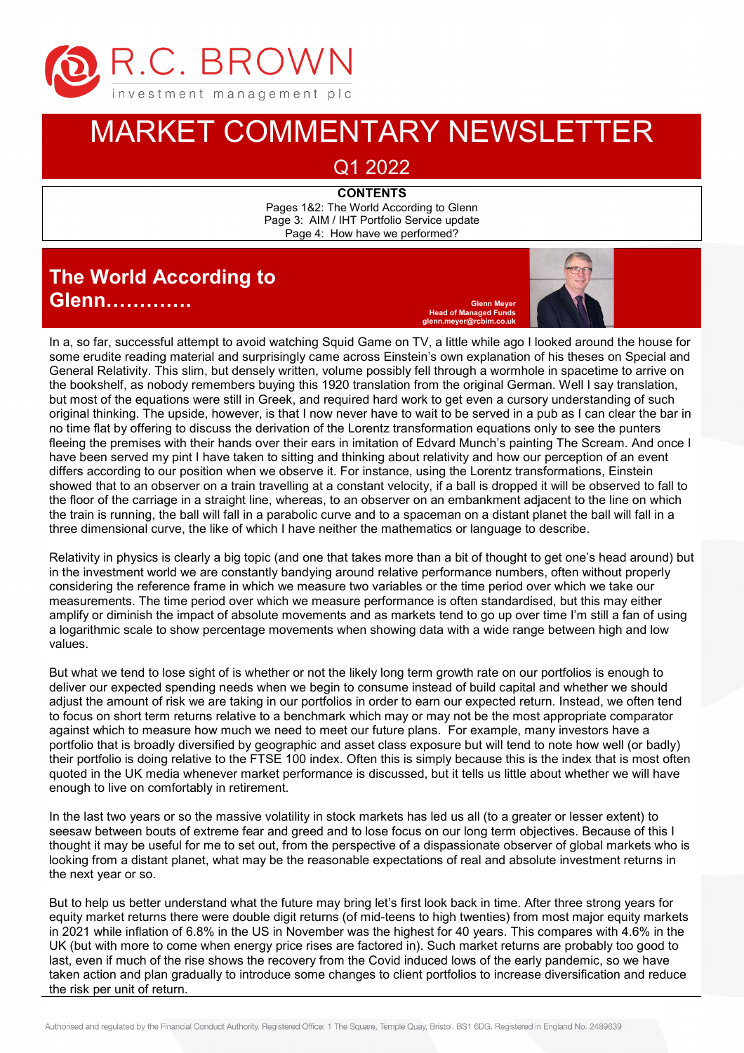

## MARKET COMMENTARY NEWSLETTER

Q1 2022

**CONTENTS** Pages 1&2: The World According to Glenn Page 3: AIM / IHT Portfolio Service update Page 4: How have we performed?

## **The World According to Glenn……………**

**Head of Managed F glenn.meyer@rcbim.co.uk**



In a, so far, successful attempt to avoid watching Squid Game on TV, a little while ago I looked around the house for some erudite reading material and surprisingly came across Einstein's own explanation of his theses on Special and General Relativity. This slim, but densely written, volume possibly fell through a wormhole in spacetime to arrive on the bookshelf, as nobody remembers buying this 1920 translation from the original German. Well I say translation, but most of the equations were still in Greek, and required hard work to get even a cursory understanding of such original thinking. The upside, however, is that I now never have to wait to be served in a pub as I can clear the bar in no time flat by offering to discuss the derivation of the Lorentz transformation equations only to see the punters fleeing the premises with their hands over their ears in imitation of Edvard Munch's painting The Scream. And once I have been served my pint I have taken to sitting and thinking about relativity and how our perception of an event differs according to our position when we observe it. For instance, using the Lorentz transformations, Einstein showed that to an observer on a train travelling at a constant velocity, if a ball is dropped it will be observed to fall to the floor of the carriage in a straight line, whereas, to an observer on an embankment adjacent to the line on which the train is running, the ball will fall in a parabolic curve and to a spaceman on a distant planet the ball will fall in a three dimensional curve, the like of which I have neither the mathematics or language to describe.

Relativity in physics is clearly a big topic (and one that takes more than a bit of thought to get one's head around) but in the investment world we are constantly bandying around relative performance numbers, often without properly considering the reference frame in which we measure two variables or the time period over which we take our measurements. The time period over which we measure performance is often standardised, but this may either amplify or diminish the impact of absolute movements and as markets tend to go up over time I'm still a fan of using a logarithmic scale to show percentage movements when showing data with a wide range between high and low values.

But what we tend to lose sight of is whether or not the likely long term growth rate on our portfolios is enough to deliver our expected spending needs when we begin to consume instead of build capital and whether we should adjust the amount of risk we are taking in our portfolios in order to earn our expected return. Instead, we often tend to focus on short term returns relative to a benchmark which may or may not be the most appropriate comparator against which to measure how much we need to meet our future plans. For example, many investors have a portfolio that is broadly diversified by geographic and asset class exposure but will tend to note how well (or badly) their portfolio is doing relative to the FTSE 100 index. Often this is simply because this is the index that is most often quoted in the UK media whenever market performance is discussed, but it tells us little about whether we will have enough to live on comfortably in retirement.

In the last two years or so the massive volatility in stock markets has led us all (to a greater or lesser extent) to seesaw between bouts of extreme fear and greed and to lose focus on our long term objectives. Because of this I thought it may be useful for me to set out, from the perspective of a dispassionate observer of global markets who is looking from a distant planet, what may be the reasonable expectations of real and absolute investment returns in the next year or so.

UK (but with more to come when energy price rises are factored in). Such market returns are probably too good to last, even if much of the rise shows the recovery from the Covid induced lows of the early pandemic, so we have the risk per unit of return. But to help us better understand what the future may bring let's first look back in time. After three strong years for equity market returns there were double digit returns (of mid-teens to high twenties) from most major equity markets in 2021 while inflation of 6.8% in the US in November was the highest for 40 years. This compares with 4.6% in the taken action and plan gradually to introduce some changes to client portfolios to increase diversification and reduce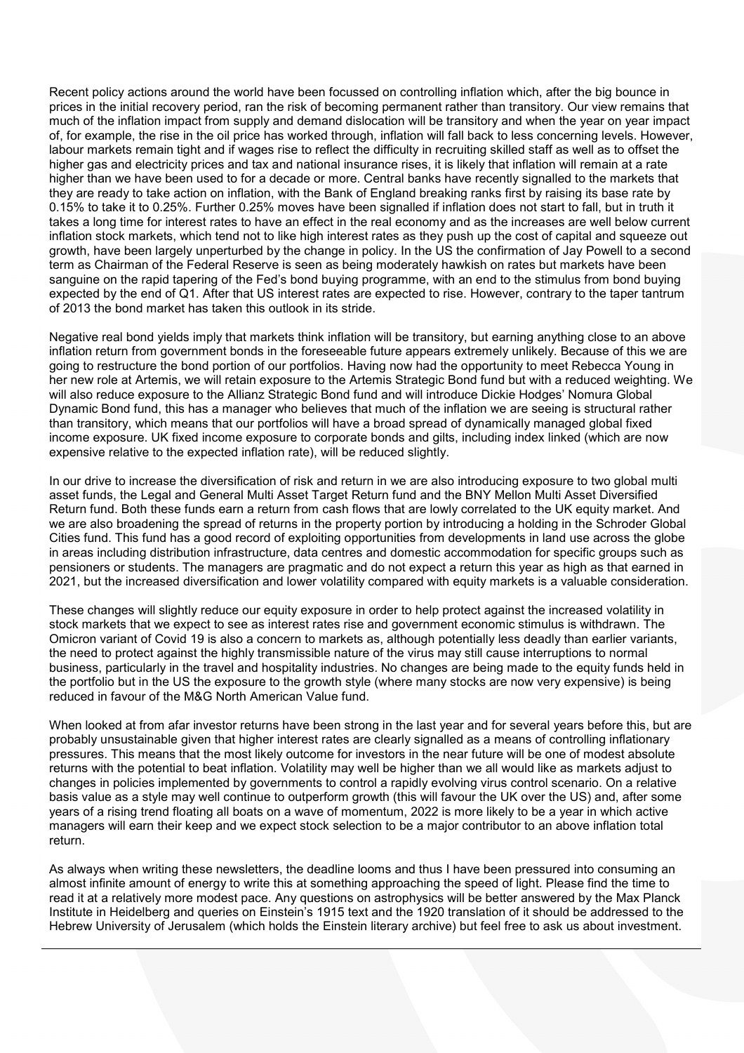Recent policy actions around the world have been focussed on controlling inflation which, after the big bounce in prices in the initial recovery period, ran the risk of becoming permanent rather than transitory. Our view remains that much of the inflation impact from supply and demand dislocation will be transitory and when the year on year impact of, for example, the rise in the oil price has worked through, inflation will fall back to less concerning levels. However, labour markets remain tight and if wages rise to reflect the difficulty in recruiting skilled staff as well as to offset the higher gas and electricity prices and tax and national insurance rises, it is likely that inflation will remain at a rate higher than we have been used to for a decade or more. Central banks have recently signalled to the markets that they are ready to take action on inflation, with the Bank of England breaking ranks first by raising its base rate by 0.15% to take it to 0.25%. Further 0.25% moves have been signalled if inflation does not start to fall, but in truth it takes a long time for interest rates to have an effect in the real economy and as the increases are well below current inflation stock markets, which tend not to like high interest rates as they push up the cost of capital and squeeze out growth, have been largely unperturbed by the change in policy. In the US the confirmation of Jay Powell to a second term as Chairman of the Federal Reserve is seen as being moderately hawkish on rates but markets have been sanguine on the rapid tapering of the Fed's bond buying programme, with an end to the stimulus from bond buying expected by the end of Q1. After that US interest rates are expected to rise. However, contrary to the taper tantrum of 2013 the bond market has taken this outlook in its stride.

Negative real bond yields imply that markets think inflation will be transitory, but earning anything close to an above inflation return from government bonds in the foreseeable future appears extremely unlikely. Because of this we are going to restructure the bond portion of our portfolios. Having now had the opportunity to meet Rebecca Young in her new role at Artemis, we will retain exposure to the Artemis Strategic Bond fund but with a reduced weighting. We will also reduce exposure to the Allianz Strategic Bond fund and will introduce Dickie Hodges' Nomura Global Dynamic Bond fund, this has a manager who believes that much of the inflation we are seeing is structural rather than transitory, which means that our portfolios will have a broad spread of dynamically managed global fixed income exposure. UK fixed income exposure to corporate bonds and gilts, including index linked (which are now expensive relative to the expected inflation rate), will be reduced slightly.

In our drive to increase the diversification of risk and return in we are also introducing exposure to two global multi asset funds, the Legal and General Multi Asset Target Return fund and the BNY Mellon Multi Asset Diversified Return fund. Both these funds earn a return from cash flows that are lowly correlated to the UK equity market. And we are also broadening the spread of returns in the property portion by introducing a holding in the Schroder Global Cities fund. This fund has a good record of exploiting opportunities from developments in land use across the globe in areas including distribution infrastructure, data centres and domestic accommodation for specific groups such as pensioners or students. The managers are pragmatic and do not expect a return this year as high as that earned in 2021, but the increased diversification and lower volatility compared with equity markets is a valuable consideration.

These changes will slightly reduce our equity exposure in order to help protect against the increased volatility in stock markets that we expect to see as interest rates rise and government economic stimulus is withdrawn. The Omicron variant of Covid 19 is also a concern to markets as, although potentially less deadly than earlier variants, the need to protect against the highly transmissible nature of the virus may still cause interruptions to normal business, particularly in the travel and hospitality industries. No changes are being made to the equity funds held in the portfolio but in the US the exposure to the growth style (where many stocks are now very expensive) is being reduced in favour of the M&G North American Value fund.

When looked at from afar investor returns have been strong in the last year and for several years before this, but are probably unsustainable given that higher interest rates are clearly signalled as a means of controlling inflationary pressures. This means that the most likely outcome for investors in the near future will be one of modest absolute returns with the potential to beat inflation. Volatility may well be higher than we all would like as markets adjust to changes in policies implemented by governments to control a rapidly evolving virus control scenario. On a relative basis value as a style may well continue to outperform growth (this will favour the UK over the US) and, after some years of a rising trend floating all boats on a wave of momentum, 2022 is more likely to be a year in which active managers will earn their keep and we expect stock selection to be a major contributor to an above inflation total return.

As always when writing these newsletters, the deadline looms and thus I have been pressured into consuming an almost infinite amount of energy to write this at something approaching the speed of light. Please find the time to read it at a relatively more modest pace. Any questions on astrophysics will be better answered by the Max Planck Institute in Heidelberg and queries on Einstein's 1915 text and the 1920 translation of it should be addressed to the Hebrew University of Jerusalem (which holds the Einstein literary archive) but feel free to ask us about investment.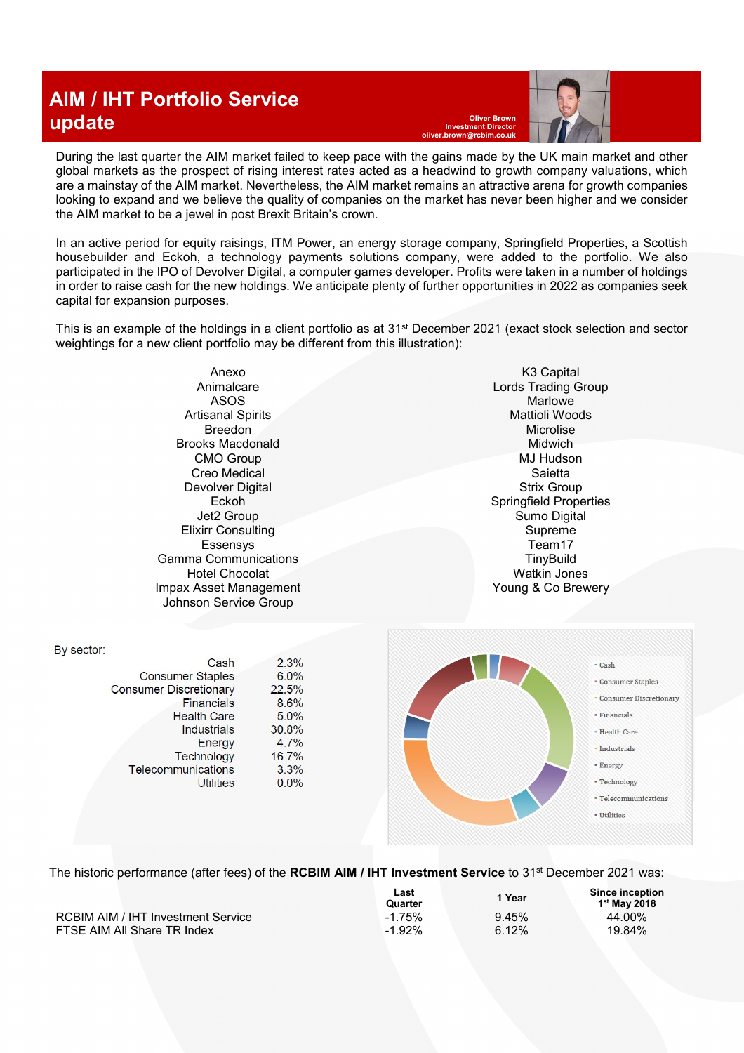## **AIM / IHT Portfolio Service update oliver Brown**

**Investment Director oliver.brown@rcbim.co.uk**

During the last quarter the AIM market failed to keep pace with the gains made by the UK main market and other global markets as the prospect of rising interest rates acted as a headwind to growth company valuations, which are a mainstay of the AIM market. Nevertheless, the AIM market remains an attractive arena for growth companies looking to expand and we believe the quality of companies on the market has never been higher and we consider the AIM market to be a jewel in post Brexit Britain's crown.

In an active period for equity raisings, ITM Power, an energy storage company, Springfield Properties, a Scottish housebuilder and Eckoh, a technology payments solutions company, were added to the portfolio. We also participated in the IPO of Devolver Digital, a computer games developer. Profits were taken in a number of holdings in order to raise cash for the new holdings. We anticipate plenty of further opportunities in 2022 as companies seek capital for expansion purposes.

This is an example of the holdings in a client portfolio as at 31st December 2021 (exact stock selection and sector weightings for a new client portfolio may be different from this illustration):

> Anexo Animalcare ASOS Artisanal Spirits Breedon Brooks Macdonald CMO Group Creo Medical Devolver Digital Eckoh Jet2 Group Elixirr Consulting Essensys Gamma Communications Hotel Chocolat Impax Asset Management Johnson Service Group

> > Cash

**Financials** 

Industrials

Energy

**Utilities** 

**Health Care** 

Technology

**Consumer Staples** 

Telecommunications

**Consumer Discretionary** 

 $2.3%$ 

 $6.0%$ 

8.6%

 $5.0%$ 

4.7%

 $3.3%$ 

 $0.0\%$ 

16.7%

30.8%

22.5%

By sector:

K3 Capital Lords Trading Group **Marlowe** Mattioli Woods Microlise Midwich MJ Hudson Saietta Strix Group Springfield Properties Sumo Digital Supreme Team17 **TinyBuild** Watkin Jones Young & Co Brewery



The historic performance (after fees) of the **RCBIM AIM / IHT Investment Service** to 31st December 2021 was:

|                                    | Last<br>Quarter | 1 Year | Since inception<br>$1st$ May 2018 |
|------------------------------------|-----------------|--------|-----------------------------------|
| RCBIM AIM / IHT Investment Service | $-1.75%$        | 9.45%  | 44.00%                            |
| FTSE AIM All Share TR Index        | $-1.92\%$       | 6.12%  | 19.84%                            |